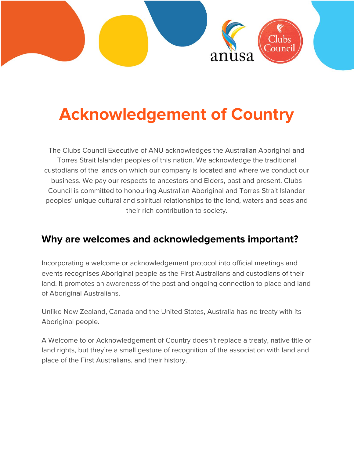

# **Acknowledgement of Country**

The Clubs Council Executive of ANU acknowledges the Australian Aboriginal and Torres Strait Islander peoples of this nation. We acknowledge the traditional custodians of the lands on which our company is located and where we conduct our business. We pay our respects to ancestors and Elders, past and present. Clubs Council is committed to honouring Australian Aboriginal and Torres Strait Islander peoples' unique cultural and spiritual relationships to the land, waters and seas and their rich contribution to society.

#### **Why are welcomes and acknowledgements important?**

Incorporating a welcome or acknowledgement protocol into official meetings and events recognises Aboriginal people as the First Australians and custodians of their land. It promotes an awareness of the past and ongoing connection to place and land of Aboriginal Australians.

Unlike New Zealand, Canada and the United States, Australia has no treaty with its Aboriginal people.

A Welcome to or Acknowledgement of Country doesn't replace a treaty, native title or land rights, but they're a small gesture of recognition of the association with land and place of the First Australians, and their history.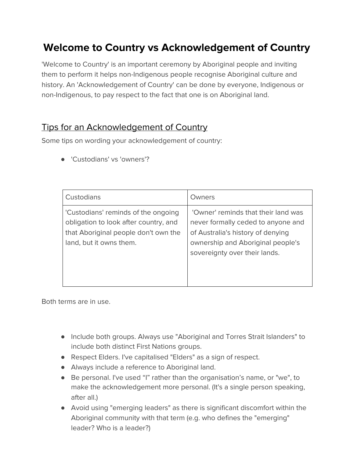# **Welcome to Country vs Acknowledgement of Country**

'Welcome to Country' is an important ceremony by Aboriginal people and inviting them to perform it helps non-Indigenous people recognise Aboriginal culture and history. An 'Acknowledgement of Country' can be done by everyone, Indigenous or non-Indigenous, to pay respect to the fact that one is on Aboriginal land.

#### Tips for an Acknowledgement of Country

Some tips on wording your acknowledgement of country:

● 'Custodians' vs 'owners'?

| Custodians                                                                                                                                      | Owners                                                                                                                                                                               |
|-------------------------------------------------------------------------------------------------------------------------------------------------|--------------------------------------------------------------------------------------------------------------------------------------------------------------------------------------|
| 'Custodians' reminds of the ongoing<br>obligation to look after country, and<br>that Aboriginal people don't own the<br>land, but it owns them. | 'Owner' reminds that their land was<br>never formally ceded to anyone and<br>of Australia's history of denying<br>ownership and Aboriginal people's<br>sovereignty over their lands. |

Both terms are in use.

- Include both groups. Always use "Aboriginal and Torres Strait Islanders" to include both distinct First Nations groups.
- Respect Elders. I've capitalised "Elders" as a sign of respect.
- Always include a reference to Aboriginal land.
- Be personal. I've used "I" rather than the organisation's name, or "we", to make the acknowledgement more personal. (It's a single person speaking, after all.)
- Avoid using "emerging leaders" as there is significant discomfort within the Aboriginal community with that term (e.g. who defines the "emerging" leader? Who is a leader?)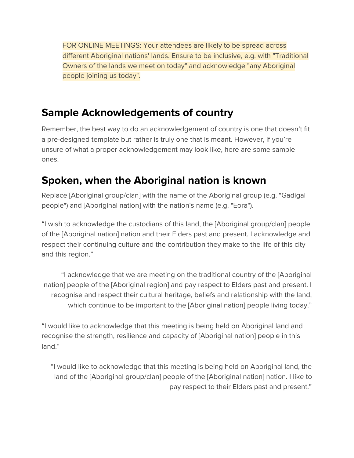FOR ONLINE MEETINGS: Your attendees are likely to be spread across different Aboriginal nations' lands. Ensure to be inclusive, e.g. with "Traditional Owners of the lands we meet on today" and acknowledge "any Aboriginal people joining us today".

#### **Sample Acknowledgements of country**

Remember, the best way to do an acknowledgement of country is one that doesn't fit a pre-designed template but rather is truly one that is meant. However, if you're unsure of what a proper acknowledgement may look like, here are some sample ones.

# **Spoken, when the Aboriginal nation is known**

Replace [Aboriginal group/clan] with the name of the Aboriginal group (e.g. "Gadigal people") and [Aboriginal nation] with the nation's name (e.g. "Eora").

"I wish to acknowledge the custodians of this land, the [Aboriginal group/clan] people of the [Aboriginal nation] nation and their Elders past and present. I acknowledge and respect their continuing culture and the contribution they make to the life of this city and this region."

"I acknowledge that we are meeting on the traditional country of the [Aboriginal nation] people of the [Aboriginal region] and pay respect to Elders past and present. I recognise and respect their cultural heritage, beliefs and relationship with the land, which continue to be important to the [Aboriginal nation] people living today."

"I would like to acknowledge that this meeting is being held on Aboriginal land and recognise the strength, resilience and capacity of [Aboriginal nation] people in this land."

"I would like to acknowledge that this meeting is being held on Aboriginal land, the land of the [Aboriginal group/clan] people of the [Aboriginal nation] nation. I like to pay respect to their Elders past and present."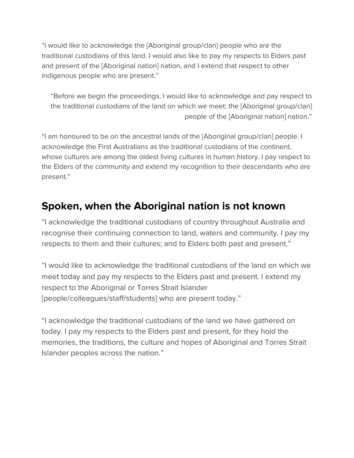"I would like to acknowledge the [Aboriginal group/clan] people who are the traditional custodians of this land. I would also like to pay my respects to Elders past and present of the [Aboriginal nation] nation, and I extend that respect to other indigenous people who are present."

"Before we begin the proceedings, I would like to acknowledge and pay respect to the traditional custodians of the land on which we meet; the [Aboriginal group/clan] people of the [Aboriginal nation] nation."

"I am honoured to be on the ancestral lands of the [Aboriginal group/clan] people. I acknowledge the First Australians as the traditional custodians of the continent, whose cultures are among the oldest living cultures in human history. I pay respect to the Elders of the community and extend my recognition to their descendants who are present."

#### **Spoken, when the Aboriginal nation is not known**

"I acknowledge the traditional custodians of country throughout Australia and recognise their continuing connection to land, waters and community. I pay my respects to them and their cultures; and to Elders both past and present."

"I would like to acknowledge the traditional custodians of the land on which we meet today and pay my respects to the Elders past and present. I extend my respect to the Aboriginal or Torres Strait Islander [people/colleagues/staff/students] who are present today."

"I acknowledge the traditional custodians of the land we have gathered on today. I pay my respects to the Elders past and present, for they hold the memories, the traditions, the culture and hopes of Aboriginal and Torres Strait Islander peoples across the nation."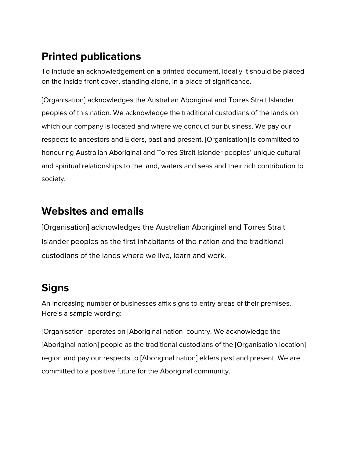# **Printed publications**

To include an acknowledgement on a printed document, ideally it should be placed on the inside front cover, standing alone, in a place of significance.

[Organisation] acknowledges the Australian Aboriginal and Torres Strait Islander peoples of this nation. We acknowledge the traditional custodians of the lands on which our company is located and where we conduct our business. We pay our respects to ancestors and Elders, past and present. [Organisation] is committed to honouring Australian Aboriginal and Torres Strait Islander peoples' unique cultural and spiritual relationships to the land, waters and seas and their rich contribution to society.

#### **Websites and emails**

[Organisation] acknowledges the Australian Aboriginal and Torres Strait Islander peoples as the first inhabitants of the nation and the traditional custodians of the lands where we live, learn and work.

# **Signs**

An increasing number of businesses affix signs to entry areas of their premises. Here's a sample wording:

[Organisation] operates on [Aboriginal nation] country. We acknowledge the [Aboriginal nation] people as the traditional custodians of the [Organisation location] region and pay our respects to [Aboriginal nation] elders past and present. We are committed to a positive future for the Aboriginal community.